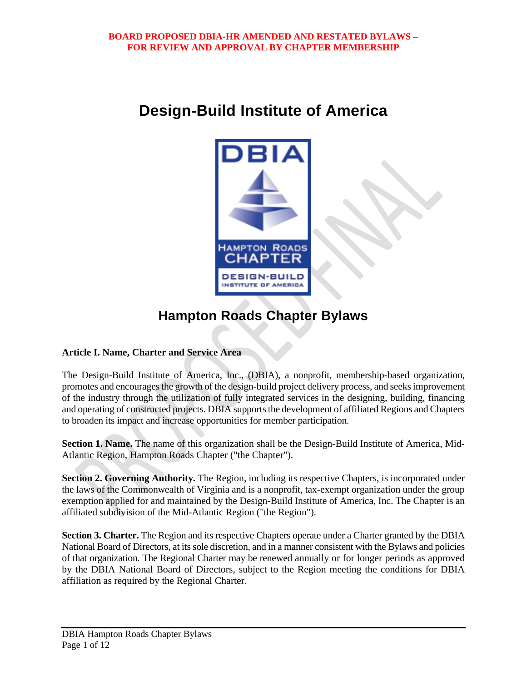# **Design-Build Institute of America**



# **Hampton Roads Chapter Bylaws**

# **Article I. Name, Charter and Service Area**

The Design-Build Institute of America, Inc., (DBIA), a nonprofit, membership-based organization, promotes and encourages the growth of the design-build project delivery process, and seeks improvement of the industry through the utilization of fully integrated services in the designing, building, financing and operating of constructed projects. DBIA supports the development of affiliated Regions and Chapters to broaden its impact and increase opportunities for member participation.

**Section 1. Name.** The name of this organization shall be the Design-Build Institute of America, Mid-Atlantic Region, Hampton Roads Chapter ("the Chapter").

**Section 2. Governing Authority.** The Region, including its respective Chapters, is incorporated under the laws of the Commonwealth of Virginia and is a nonprofit, tax-exempt organization under the group exemption applied for and maintained by the Design-Build Institute of America, Inc. The Chapter is an affiliated subdivision of the Mid-Atlantic Region ("the Region").

**Section 3. Charter.** The Region and its respective Chapters operate under a Charter granted by the DBIA National Board of Directors, at its sole discretion, and in a manner consistent with the Bylaws and policies of that organization. The Regional Charter may be renewed annually or for longer periods as approved by the DBIA National Board of Directors, subject to the Region meeting the conditions for DBIA affiliation as required by the Regional Charter.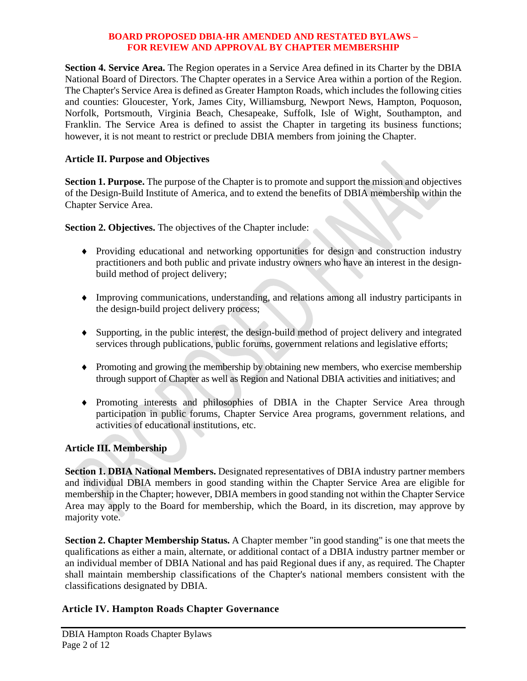**Section 4. Service Area.** The Region operates in a Service Area defined in its Charter by the DBIA National Board of Directors. The Chapter operates in a Service Area within a portion of the Region. The Chapter's Service Area is defined as Greater Hampton Roads, which includes the following cities and counties: Gloucester, York, James City, Williamsburg, Newport News, Hampton, Poquoson, Norfolk, Portsmouth, Virginia Beach, Chesapeake, Suffolk, Isle of Wight, Southampton, and Franklin. The Service Area is defined to assist the Chapter in targeting its business functions; however, it is not meant to restrict or preclude DBIA members from joining the Chapter.

# **Article II. Purpose and Objectives**

**Section 1. Purpose.** The purpose of the Chapter is to promote and support the mission and objectives of the Design-Build Institute of America, and to extend the benefits of DBIA membership within the Chapter Service Area.

**Section 2. Objectives.** The objectives of the Chapter include:

- Providing educational and networking opportunities for design and construction industry practitioners and both public and private industry owners who have an interest in the designbuild method of project delivery;
- Improving communications, understanding, and relations among all industry participants in the design-build project delivery process;
- Supporting, in the public interest, the design-build method of project delivery and integrated services through publications, public forums, government relations and legislative efforts;
- Promoting and growing the membership by obtaining new members, who exercise membership through support of Chapter as well as Region and National DBIA activities and initiatives; and
- Promoting interests and philosophies of DBIA in the Chapter Service Area through participation in public forums, Chapter Service Area programs, government relations, and activities of educational institutions, etc.

# **Article III. Membership**

**Section 1. DBIA National Members.** Designated representatives of DBIA industry partner members and individual DBIA members in good standing within the Chapter Service Area are eligible for membership in the Chapter; however, DBIA members in good standing not within the Chapter Service Area may apply to the Board for membership, which the Board, in its discretion, may approve by majority vote.

**Section 2. Chapter Membership Status.** A Chapter member "in good standing" is one that meets the qualifications as either a main, alternate, or additional contact of a DBIA industry partner member or an individual member of DBIA National and has paid Regional dues if any, as required. The Chapter shall maintain membership classifications of the Chapter's national members consistent with the classifications designated by DBIA.

# **Article IV. Hampton Roads Chapter Governance**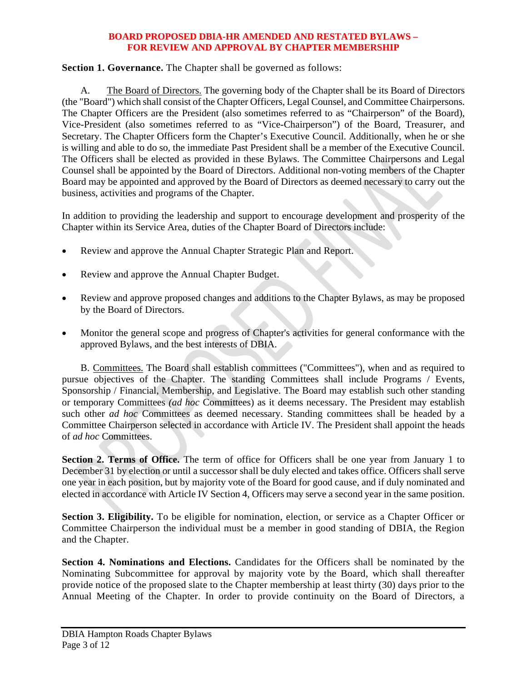**Section 1. Governance.** The Chapter shall be governed as follows:

A. The Board of Directors. The governing body of the Chapter shall be its Board of Directors (the "Board") which shall consist of the Chapter Officers, Legal Counsel, and Committee Chairpersons. The Chapter Officers are the President (also sometimes referred to as "Chairperson" of the Board), Vice-President (also sometimes referred to as "Vice-Chairperson") of the Board, Treasurer, and Secretary. The Chapter Officers form the Chapter's Executive Council. Additionally, when he or she is willing and able to do so, the immediate Past President shall be a member of the Executive Council. The Officers shall be elected as provided in these Bylaws. The Committee Chairpersons and Legal Counsel shall be appointed by the Board of Directors. Additional non-voting members of the Chapter Board may be appointed and approved by the Board of Directors as deemed necessary to carry out the business, activities and programs of the Chapter.

In addition to providing the leadership and support to encourage development and prosperity of the Chapter within its Service Area, duties of the Chapter Board of Directors include:

- Review and approve the Annual Chapter Strategic Plan and Report.
- Review and approve the Annual Chapter Budget.
- Review and approve proposed changes and additions to the Chapter Bylaws, as may be proposed by the Board of Directors.
- Monitor the general scope and progress of Chapter's activities for general conformance with the approved Bylaws, and the best interests of DBIA.

B. Committees. The Board shall establish committees ("Committees"), when and as required to pursue objectives of the Chapter. The standing Committees shall include Programs / Events, Sponsorship / Financial, Membership, and Legislative. The Board may establish such other standing or temporary Committees *(ad hoc* Committees) as it deems necessary. The President may establish such other *ad hoc* Committees as deemed necessary. Standing committees shall be headed by a Committee Chairperson selected in accordance with Article IV. The President shall appoint the heads of *ad hoc* Committees.

Section 2. Terms of Office. The term of office for Officers shall be one year from January 1 to December 31 by election or until a successor shall be duly elected and takes office. Officers shall serve one year in each position, but by majority vote of the Board for good cause, and if duly nominated and elected in accordance with Article IV Section 4, Officers may serve a second year in the same position.

**Section 3. Eligibility.** To be eligible for nomination, election, or service as a Chapter Officer or Committee Chairperson the individual must be a member in good standing of DBIA, the Region and the Chapter.

**Section 4. Nominations and Elections.** Candidates for the Officers shall be nominated by the Nominating Subcommittee for approval by majority vote by the Board, which shall thereafter provide notice of the proposed slate to the Chapter membership at least thirty (30) days prior to the Annual Meeting of the Chapter. In order to provide continuity on the Board of Directors, a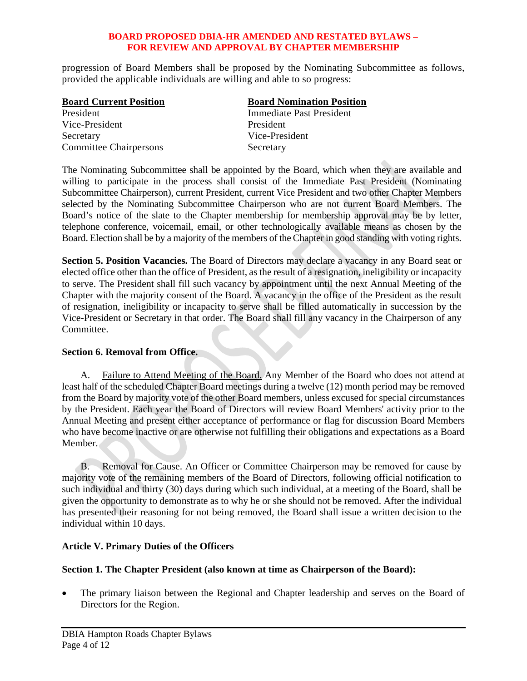progression of Board Members shall be proposed by the Nominating Subcommittee as follows, provided the applicable individuals are willing and able to so progress:

| <b>Board Current Position</b> | <b>Board Nomination Position</b> |
|-------------------------------|----------------------------------|
| President                     | Immediate Past President         |
| Vice-President                | President                        |
| Secretary                     | Vice-President                   |
| <b>Committee Chairpersons</b> | Secretary                        |

The Nominating Subcommittee shall be appointed by the Board, which when they are available and willing to participate in the process shall consist of the Immediate Past President (Nominating Subcommittee Chairperson), current President, current Vice President and two other Chapter Members selected by the Nominating Subcommittee Chairperson who are not current Board Members. The Board's notice of the slate to the Chapter membership for membership approval may be by letter, telephone conference, voicemail, email, or other technologically available means as chosen by the Board. Election shall be by a majority of the members of the Chapter in good standing with voting rights.

**Section 5. Position Vacancies.** The Board of Directors may declare a vacancy in any Board seat or elected office other than the office of President, as the result of a resignation, ineligibility or incapacity to serve. The President shall fill such vacancy by appointment until the next Annual Meeting of the Chapter with the majority consent of the Board. A vacancy in the office of the President as the result of resignation, ineligibility or incapacity to serve shall be filled automatically in succession by the Vice-President or Secretary in that order. The Board shall fill any vacancy in the Chairperson of any Committee.

## **Section 6. Removal from Office.**

A. Failure to Attend Meeting of the Board. Any Member of the Board who does not attend at least half of the scheduled Chapter Board meetings during a twelve (12) month period may be removed from the Board by majority vote of the other Board members, unless excused for special circumstances by the President. Each year the Board of Directors will review Board Members' activity prior to the Annual Meeting and present either acceptance of performance or flag for discussion Board Members who have become inactive or are otherwise not fulfilling their obligations and expectations as a Board Member.

B. Removal for Cause. An Officer or Committee Chairperson may be removed for cause by majority vote of the remaining members of the Board of Directors, following official notification to such individual and thirty (30) days during which such individual, at a meeting of the Board, shall be given the opportunity to demonstrate as to why he or she should not be removed. After the individual has presented their reasoning for not being removed, the Board shall issue a written decision to the individual within 10 days.

## **Article V. Primary Duties of the Officers**

## **Section 1. The Chapter President (also known at time as Chairperson of the Board):**

 The primary liaison between the Regional and Chapter leadership and serves on the Board of Directors for the Region.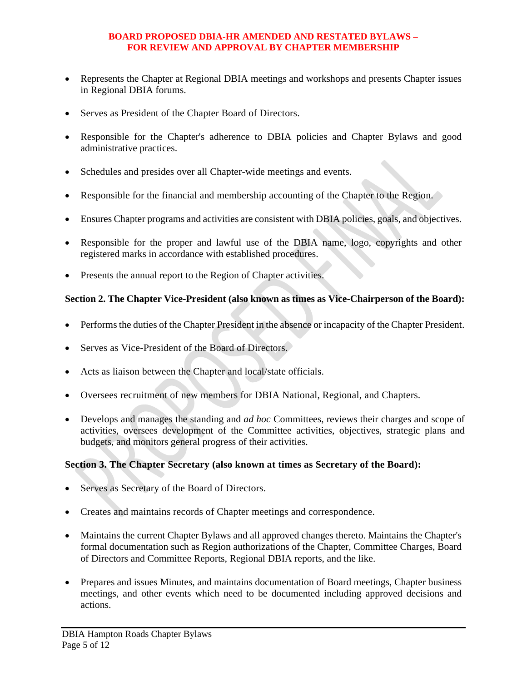- Represents the Chapter at Regional DBIA meetings and workshops and presents Chapter issues in Regional DBIA forums.
- Serves as President of the Chapter Board of Directors.
- Responsible for the Chapter's adherence to DBIA policies and Chapter Bylaws and good administrative practices.
- Schedules and presides over all Chapter-wide meetings and events.
- Responsible for the financial and membership accounting of the Chapter to the Region.
- Ensures Chapter programs and activities are consistent with DBIA policies, goals, and objectives.
- Responsible for the proper and lawful use of the DBIA name, logo, copyrights and other registered marks in accordance with established procedures.
- Presents the annual report to the Region of Chapter activities.

## **Section 2. The Chapter Vice-President (also known as times as Vice-Chairperson of the Board):**

- Performs the duties of the Chapter President in the absence or incapacity of the Chapter President.
- Serves as Vice-President of the Board of Directors.
- Acts as liaison between the Chapter and local/state officials.
- Oversees recruitment of new members for DBIA National, Regional, and Chapters.
- Develops and manages the standing and *ad hoc* Committees, reviews their charges and scope of activities, oversees development of the Committee activities, objectives, strategic plans and budgets, and monitors general progress of their activities.

# **Section 3. The Chapter Secretary (also known at times as Secretary of the Board):**

- Serves as Secretary of the Board of Directors.
- Creates and maintains records of Chapter meetings and correspondence.
- Maintains the current Chapter Bylaws and all approved changes thereto. Maintains the Chapter's formal documentation such as Region authorizations of the Chapter, Committee Charges, Board of Directors and Committee Reports, Regional DBIA reports, and the like.
- Prepares and issues Minutes, and maintains documentation of Board meetings, Chapter business meetings, and other events which need to be documented including approved decisions and actions.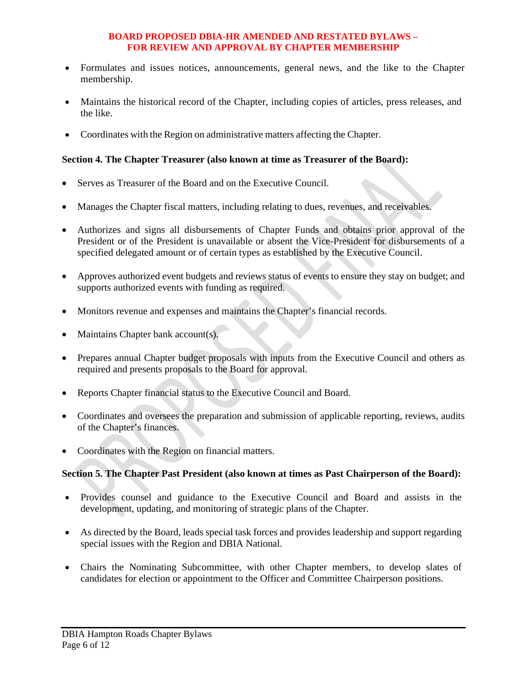- Formulates and issues notices, announcements, general news, and the like to the Chapter membership.
- Maintains the historical record of the Chapter, including copies of articles, press releases, and the like.
- Coordinates with the Region on administrative matters affecting the Chapter.

## **Section 4. The Chapter Treasurer (also known at time as Treasurer of the Board):**

- Serves as Treasurer of the Board and on the Executive Council.
- Manages the Chapter fiscal matters, including relating to dues, revenues, and receivables.
- Authorizes and signs all disbursements of Chapter Funds and obtains prior approval of the President or of the President is unavailable or absent the Vice-President for disbursements of a specified delegated amount or of certain types as established by the Executive Council.
- Approves authorized event budgets and reviews status of events to ensure they stay on budget; and supports authorized events with funding as required.
- Monitors revenue and expenses and maintains the Chapter's financial records.
- Maintains Chapter bank account(s).
- Prepares annual Chapter budget proposals with inputs from the Executive Council and others as required and presents proposals to the Board for approval.
- Reports Chapter financial status to the Executive Council and Board.
- Coordinates and oversees the preparation and submission of applicable reporting, reviews, audits of the Chapter's finances.
- Coordinates with the Region on financial matters.

## **Section 5. The Chapter Past President (also known at times as Past Chairperson of the Board):**

- Provides counsel and guidance to the Executive Council and Board and assists in the development, updating, and monitoring of strategic plans of the Chapter.
- As directed by the Board, leads special task forces and provides leadership and support regarding special issues with the Region and DBIA National.
- Chairs the Nominating Subcommittee, with other Chapter members, to develop slates of candidates for election or appointment to the Officer and Committee Chairperson positions.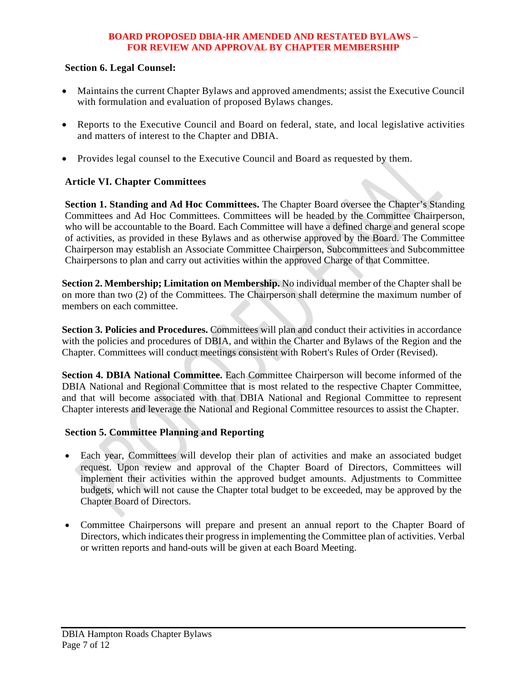## **Section 6. Legal Counsel:**

- Maintains the current Chapter Bylaws and approved amendments; assist the Executive Council with formulation and evaluation of proposed Bylaws changes.
- Reports to the Executive Council and Board on federal, state, and local legislative activities and matters of interest to the Chapter and DBIA.
- Provides legal counsel to the Executive Council and Board as requested by them.

# **Article VI. Chapter Committees**

**Section 1. Standing and Ad Hoc Committees.** The Chapter Board oversee the Chapter's Standing Committees and Ad Hoc Committees. Committees will be headed by the Committee Chairperson, who will be accountable to the Board. Each Committee will have a defined charge and general scope of activities, as provided in these Bylaws and as otherwise approved by the Board. The Committee Chairperson may establish an Associate Committee Chairperson, Subcommittees and Subcommittee Chairpersons to plan and carry out activities within the approved Charge of that Committee.

**Section 2. Membership; Limitation on Membership.** No individual member of the Chapter shall be on more than two (2) of the Committees. The Chairperson shall determine the maximum number of members on each committee.

**Section 3. Policies and Procedures.** Committees will plan and conduct their activities in accordance with the policies and procedures of DBIA, and within the Charter and Bylaws of the Region and the Chapter. Committees will conduct meetings consistent with Robert's Rules of Order (Revised).

**Section 4. DBIA National Committee.** Each Committee Chairperson will become informed of the DBIA National and Regional Committee that is most related to the respective Chapter Committee, and that will become associated with that DBIA National and Regional Committee to represent Chapter interests and leverage the National and Regional Committee resources to assist the Chapter.

## **Section 5. Committee Planning and Reporting**

- Each year, Committees will develop their plan of activities and make an associated budget request. Upon review and approval of the Chapter Board of Directors, Committees will implement their activities within the approved budget amounts. Adjustments to Committee budgets, which will not cause the Chapter total budget to be exceeded, may be approved by the Chapter Board of Directors.
- Committee Chairpersons will prepare and present an annual report to the Chapter Board of Directors, which indicates their progress in implementing the Committee plan of activities. Verbal or written reports and hand-outs will be given at each Board Meeting.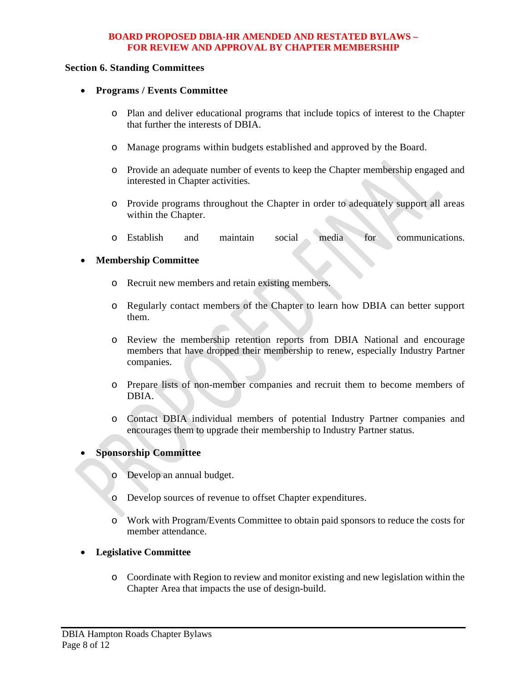#### **Section 6. Standing Committees**

- **Programs / Events Committee** 
	- o Plan and deliver educational programs that include topics of interest to the Chapter that further the interests of DBIA.
	- o Manage programs within budgets established and approved by the Board.
	- o Provide an adequate number of events to keep the Chapter membership engaged and interested in Chapter activities.
	- o Provide programs throughout the Chapter in order to adequately support all areas within the Chapter.
	- o Establish and maintain social media for communications.

## **Membership Committee**

- o Recruit new members and retain existing members.
- o Regularly contact members of the Chapter to learn how DBIA can better support them.
- o Review the membership retention reports from DBIA National and encourage members that have dropped their membership to renew, especially Industry Partner companies.
- o Prepare lists of non-member companies and recruit them to become members of DBIA.
- o Contact DBIA individual members of potential Industry Partner companies and encourages them to upgrade their membership to Industry Partner status.

## **Sponsorship Committee**

- o Develop an annual budget.
- o Develop sources of revenue to offset Chapter expenditures.
- o Work with Program/Events Committee to obtain paid sponsors to reduce the costs for member attendance.

## **Legislative Committee**

o Coordinate with Region to review and monitor existing and new legislation within the Chapter Area that impacts the use of design-build.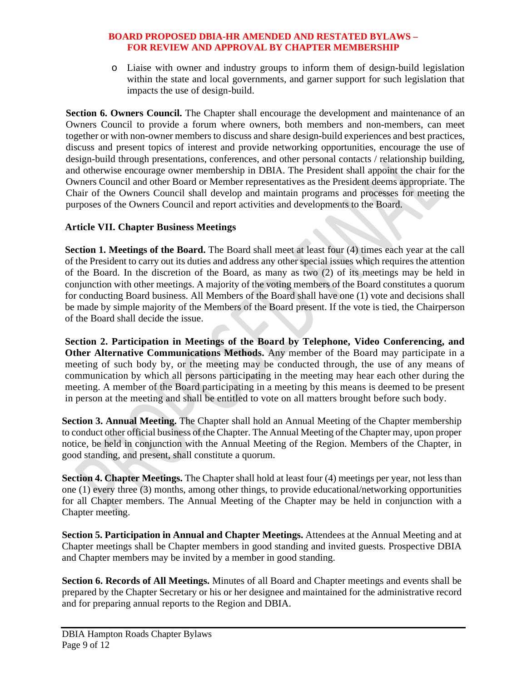o Liaise with owner and industry groups to inform them of design-build legislation within the state and local governments, and garner support for such legislation that impacts the use of design-build.

**Section 6. Owners Council.** The Chapter shall encourage the development and maintenance of an Owners Council to provide a forum where owners, both members and non-members, can meet together or with non-owner members to discuss and share design-build experiences and best practices, discuss and present topics of interest and provide networking opportunities, encourage the use of design-build through presentations, conferences, and other personal contacts / relationship building, and otherwise encourage owner membership in DBIA. The President shall appoint the chair for the Owners Council and other Board or Member representatives as the President deems appropriate. The Chair of the Owners Council shall develop and maintain programs and processes for meeting the purposes of the Owners Council and report activities and developments to the Board.

## **Article VII. Chapter Business Meetings**

**Section 1. Meetings of the Board.** The Board shall meet at least four (4) times each year at the call of the President to carry out its duties and address any other special issues which requires the attention of the Board. In the discretion of the Board, as many as two (2) of its meetings may be held in conjunction with other meetings. A majority of the voting members of the Board constitutes a quorum for conducting Board business. All Members of the Board shall have one (1) vote and decisions shall be made by simple majority of the Members of the Board present. If the vote is tied, the Chairperson of the Board shall decide the issue.

**Section 2. Participation in Meetings of the Board by Telephone, Video Conferencing, and Other Alternative Communications Methods.** Any member of the Board may participate in a meeting of such body by, or the meeting may be conducted through, the use of any means of communication by which all persons participating in the meeting may hear each other during the meeting. A member of the Board participating in a meeting by this means is deemed to be present in person at the meeting and shall be entitled to vote on all matters brought before such body.

**Section 3. Annual Meeting.** The Chapter shall hold an Annual Meeting of the Chapter membership to conduct other official business of the Chapter. The Annual Meeting of the Chapter may, upon proper notice, be held in conjunction with the Annual Meeting of the Region. Members of the Chapter, in good standing, and present, shall constitute a quorum.

**Section 4. Chapter Meetings.** The Chapter shall hold at least four (4) meetings per year, not less than one (1) every three (3) months, among other things, to provide educational/networking opportunities for all Chapter members. The Annual Meeting of the Chapter may be held in conjunction with a Chapter meeting.

**Section 5. Participation in Annual and Chapter Meetings.** Attendees at the Annual Meeting and at Chapter meetings shall be Chapter members in good standing and invited guests. Prospective DBIA and Chapter members may be invited by a member in good standing.

**Section 6. Records of All Meetings.** Minutes of all Board and Chapter meetings and events shall be prepared by the Chapter Secretary or his or her designee and maintained for the administrative record and for preparing annual reports to the Region and DBIA.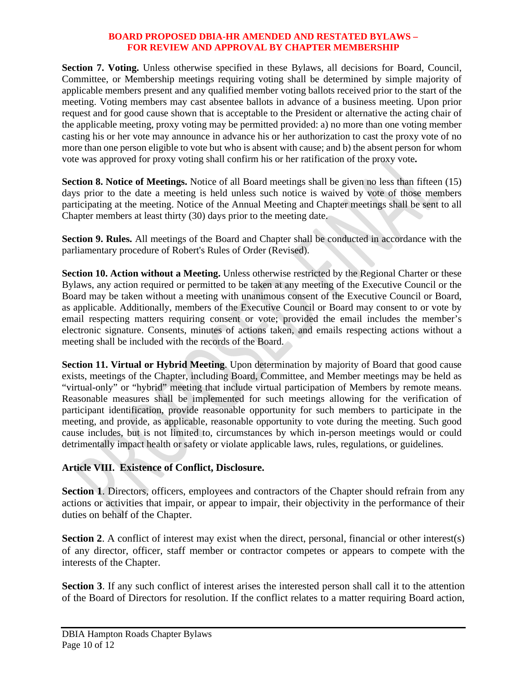**Section 7. Voting.** Unless otherwise specified in these Bylaws, all decisions for Board, Council, Committee, or Membership meetings requiring voting shall be determined by simple majority of applicable members present and any qualified member voting ballots received prior to the start of the meeting. Voting members may cast absentee ballots in advance of a business meeting. Upon prior request and for good cause shown that is acceptable to the President or alternative the acting chair of the applicable meeting, proxy voting may be permitted provided: a) no more than one voting member casting his or her vote may announce in advance his or her authorization to cast the proxy vote of no more than one person eligible to vote but who is absent with cause; and b) the absent person for whom vote was approved for proxy voting shall confirm his or her ratification of the proxy vote**.** 

**Section 8. Notice of Meetings.** Notice of all Board meetings shall be given no less than fifteen (15) days prior to the date a meeting is held unless such notice is waived by vote of those members participating at the meeting. Notice of the Annual Meeting and Chapter meetings shall be sent to all Chapter members at least thirty (30) days prior to the meeting date.

**Section 9. Rules.** All meetings of the Board and Chapter shall be conducted in accordance with the parliamentary procedure of Robert's Rules of Order (Revised).

**Section 10. Action without a Meeting.** Unless otherwise restricted by the Regional Charter or these Bylaws, any action required or permitted to be taken at any meeting of the Executive Council or the Board may be taken without a meeting with unanimous consent of the Executive Council or Board, as applicable. Additionally, members of the Executive Council or Board may consent to or vote by email respecting matters requiring consent or vote; provided the email includes the member's electronic signature. Consents, minutes of actions taken, and emails respecting actions without a meeting shall be included with the records of the Board.

**Section 11. Virtual or Hybrid Meeting**. Upon determination by majority of Board that good cause exists, meetings of the Chapter, including Board, Committee, and Member meetings may be held as "virtual-only" or "hybrid" meeting that include virtual participation of Members by remote means. Reasonable measures shall be implemented for such meetings allowing for the verification of participant identification, provide reasonable opportunity for such members to participate in the meeting, and provide, as applicable, reasonable opportunity to vote during the meeting. Such good cause includes, but is not limited to, circumstances by which in-person meetings would or could detrimentally impact health or safety or violate applicable laws, rules, regulations, or guidelines.

# **Article VIII. Existence of Conflict, Disclosure.**

**Section 1.** Directors, officers, employees and contractors of the Chapter should refrain from any actions or activities that impair, or appear to impair, their objectivity in the performance of their duties on behalf of the Chapter.

**Section 2.** A conflict of interest may exist when the direct, personal, financial or other interest(s) of any director, officer, staff member or contractor competes or appears to compete with the interests of the Chapter.

**Section 3**. If any such conflict of interest arises the interested person shall call it to the attention of the Board of Directors for resolution. If the conflict relates to a matter requiring Board action,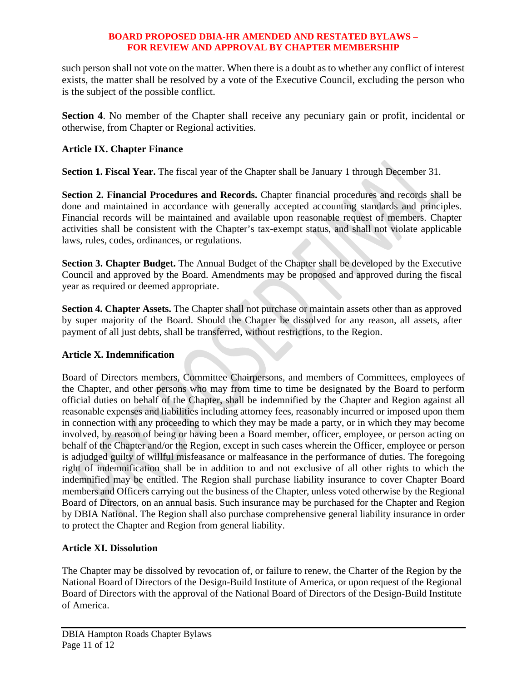such person shall not vote on the matter. When there is a doubt as to whether any conflict of interest exists, the matter shall be resolved by a vote of the Executive Council, excluding the person who is the subject of the possible conflict.

**Section 4.** No member of the Chapter shall receive any pecuniary gain or profit, incidental or otherwise, from Chapter or Regional activities.

# **Article IX. Chapter Finance**

**Section 1. Fiscal Year.** The fiscal year of the Chapter shall be January 1 through December 31.

Section 2. Financial Procedures and Records. Chapter financial procedures and records shall be done and maintained in accordance with generally accepted accounting standards and principles. Financial records will be maintained and available upon reasonable request of members. Chapter activities shall be consistent with the Chapter's tax-exempt status, and shall not violate applicable laws, rules, codes, ordinances, or regulations.

**Section 3. Chapter Budget.** The Annual Budget of the Chapter shall be developed by the Executive Council and approved by the Board. Amendments may be proposed and approved during the fiscal year as required or deemed appropriate.

**Section 4. Chapter Assets.** The Chapter shall not purchase or maintain assets other than as approved by super majority of the Board. Should the Chapter be dissolved for any reason, all assets, after payment of all just debts, shall be transferred, without restrictions, to the Region.

# **Article X. Indemnification**

Board of Directors members, Committee Chairpersons, and members of Committees, employees of the Chapter, and other persons who may from time to time be designated by the Board to perform official duties on behalf of the Chapter, shall be indemnified by the Chapter and Region against all reasonable expenses and liabilities including attorney fees, reasonably incurred or imposed upon them in connection with any proceeding to which they may be made a party, or in which they may become involved, by reason of being or having been a Board member, officer, employee, or person acting on behalf of the Chapter and/or the Region, except in such cases wherein the Officer, employee or person is adjudged guilty of willful misfeasance or malfeasance in the performance of duties. The foregoing right of indemnification shall be in addition to and not exclusive of all other rights to which the indemnified may be entitled. The Region shall purchase liability insurance to cover Chapter Board members and Officers carrying out the business of the Chapter, unless voted otherwise by the Regional Board of Directors, on an annual basis. Such insurance may be purchased for the Chapter and Region by DBIA National. The Region shall also purchase comprehensive general liability insurance in order to protect the Chapter and Region from general liability.

# **Article XI. Dissolution**

The Chapter may be dissolved by revocation of, or failure to renew, the Charter of the Region by the National Board of Directors of the Design-Build Institute of America, or upon request of the Regional Board of Directors with the approval of the National Board of Directors of the Design-Build Institute of America.